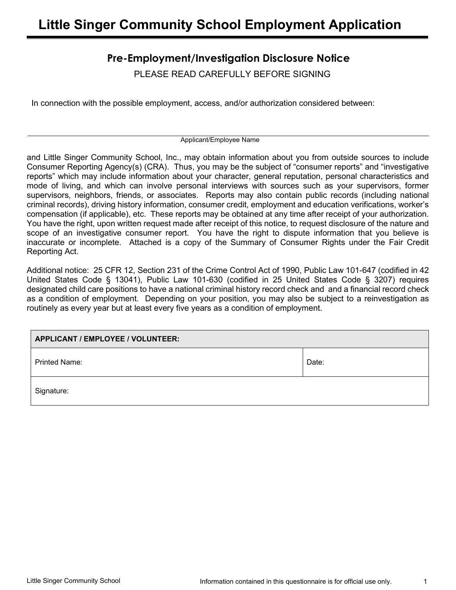# **Pre-Employment/Investigation Disclosure Notice**

PLEASE READ CAREFULLY BEFORE SIGNING

In connection with the possible employment, access, and/or authorization considered between:

Applicant/Employee Name

and Little Singer Community School, Inc., may obtain information about you from outside sources to include Consumer Reporting Agency(s) (CRA). Thus, you may be the subject of "consumer reports" and "investigative reports" which may include information about your character, general reputation, personal characteristics and mode of living, and which can involve personal interviews with sources such as your supervisors, former supervisors, neighbors, friends, or associates. Reports may also contain public records (including national criminal records), driving history information, consumer credit, employment and education verifications, worker's compensation (if applicable), etc. These reports may be obtained at any time after receipt of your authorization. You have the right, upon written request made after receipt of this notice, to request disclosure of the nature and scope of an investigative consumer report. You have the right to dispute information that you believe is inaccurate or incomplete. Attached is a copy of the Summary of Consumer Rights under the Fair Credit Reporting Act.

Additional notice: 25 CFR 12, Section 231 of the Crime Control Act of 1990, Public Law 101-647 (codified in 42 United States Code § 13041), Public Law 101-630 (codified in 25 United States Code § 3207) requires designated child care positions to have a national criminal history record check and and a financial record check as a condition of employment. Depending on your position, you may also be subject to a reinvestigation as routinely as every year but at least every five years as a condition of employment.

| APPLICANT / EMPLOYEE / VOLUNTEER: |       |
|-----------------------------------|-------|
| <b>Printed Name:</b>              | Date: |
| Signature:                        |       |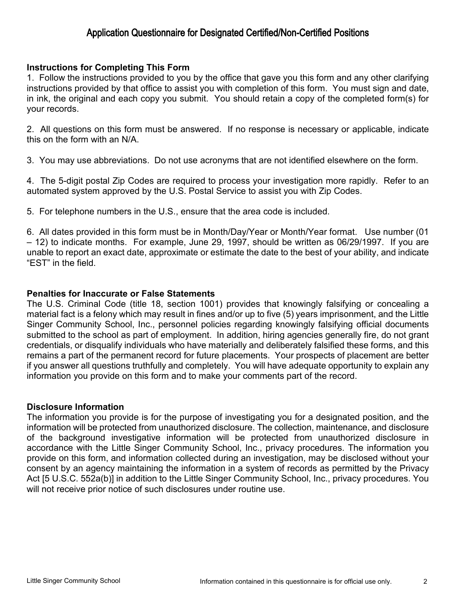## Application Questionnaire for Designated Certified/Non-Certified Positions

### **Instructions for Completing This Form**

1. Follow the instructions provided to you by the office that gave you this form and any other clarifying instructions provided by that office to assist you with completion of this form. You must sign and date, in ink, the original and each copy you submit. You should retain a copy of the completed form(s) for your records.

2. All questions on this form must be answered. If no response is necessary or applicable, indicate this on the form with an N/A.

3. You may use abbreviations. Do not use acronyms that are not identified elsewhere on the form.

4. The 5-digit postal Zip Codes are required to process your investigation more rapidly. Refer to an automated system approved by the U.S. Postal Service to assist you with Zip Codes.

5. For telephone numbers in the U.S., ensure that the area code is included.

6. All dates provided in this form must be in Month/Day/Year or Month/Year format. Use number (01 – 12) to indicate months. For example, June 29, 1997, should be written as 06/29/1997. If you are unable to report an exact date, approximate or estimate the date to the best of your ability, and indicate "EST" in the field.

### **Penalties for Inaccurate or False Statements**

The U.S. Criminal Code (title 18, section 1001) provides that knowingly falsifying or concealing a material fact is a felony which may result in fines and/or up to five (5) years imprisonment, and the Little Singer Community School, Inc., personnel policies regarding knowingly falsifying official documents submitted to the school as part of employment. In addition, hiring agencies generally fire, do not grant credentials, or disqualify individuals who have materially and deliberately falsified these forms, and this remains a part of the permanent record for future placements. Your prospects of placement are better if you answer all questions truthfully and completely. You will have adequate opportunity to explain any information you provide on this form and to make your comments part of the record.

### **Disclosure Information**

The information you provide is for the purpose of investigating you for a designated position, and the information will be protected from unauthorized disclosure. The collection, maintenance, and disclosure of the background investigative information will be protected from unauthorized disclosure in accordance with the Little Singer Community School, Inc., privacy procedures. The information you provide on this form, and information collected during an investigation, may be disclosed without your consent by an agency maintaining the information in a system of records as permitted by the Privacy Act [5 U.S.C. 552a(b)] in addition to the Little Singer Community School, Inc., privacy procedures. You will not receive prior notice of such disclosures under routine use.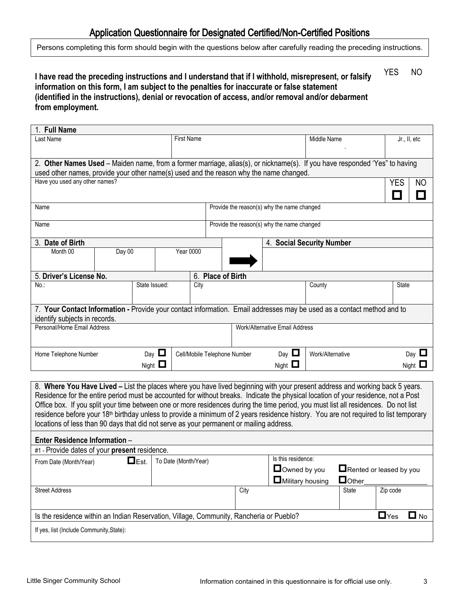## Application Questionnaire for Designated Certified/Non-Certified Positions

Persons completing this form should begin with the questions below after carefully reading the preceding instructions.

#### **I have read the preceding instructions and I understand that if I withhold, misrepresent, or falsify information on this form, I am subject to the penalties for inaccurate or false statement (identified in the instructions), denial or revocation of access, and/or removal and/or debarment from employment.** YES NO

| 1. Full Name                                                                            |        |               |                   |                              |                                            |                                                                                                                                                                                                                                                                                                                                                                                                                                                                                                                                                               |                  |  |
|-----------------------------------------------------------------------------------------|--------|---------------|-------------------|------------------------------|--------------------------------------------|---------------------------------------------------------------------------------------------------------------------------------------------------------------------------------------------------------------------------------------------------------------------------------------------------------------------------------------------------------------------------------------------------------------------------------------------------------------------------------------------------------------------------------------------------------------|------------------|--|
| Last Name                                                                               |        |               | <b>First Name</b> |                              |                                            | Middle Name                                                                                                                                                                                                                                                                                                                                                                                                                                                                                                                                                   | Jr., II, etc     |  |
|                                                                                         |        |               |                   |                              |                                            |                                                                                                                                                                                                                                                                                                                                                                                                                                                                                                                                                               |                  |  |
|                                                                                         |        |               |                   |                              |                                            | 2. Other Names Used - Maiden name, from a former marriage, alias(s), or nickname(s). If you have responded 'Yes" to having                                                                                                                                                                                                                                                                                                                                                                                                                                    |                  |  |
| used other names, provide your other name(s) used and the reason why the name changed.  |        |               |                   |                              |                                            |                                                                                                                                                                                                                                                                                                                                                                                                                                                                                                                                                               |                  |  |
| Have you used any other names?                                                          |        |               |                   |                              |                                            |                                                                                                                                                                                                                                                                                                                                                                                                                                                                                                                                                               | <b>YES</b><br>NO |  |
| Name                                                                                    |        |               |                   |                              | Provide the reason(s) why the name changed |                                                                                                                                                                                                                                                                                                                                                                                                                                                                                                                                                               |                  |  |
| Name                                                                                    |        |               |                   |                              | Provide the reason(s) why the name changed |                                                                                                                                                                                                                                                                                                                                                                                                                                                                                                                                                               |                  |  |
| 3. Date of Birth                                                                        |        |               |                   |                              |                                            | 4. Social Security Number                                                                                                                                                                                                                                                                                                                                                                                                                                                                                                                                     |                  |  |
| Month 00                                                                                | Day 00 |               | <b>Year 0000</b>  |                              |                                            |                                                                                                                                                                                                                                                                                                                                                                                                                                                                                                                                                               |                  |  |
| 5. Driver's License No.                                                                 |        |               |                   | 6. Place of Birth            |                                            |                                                                                                                                                                                                                                                                                                                                                                                                                                                                                                                                                               |                  |  |
| No.:                                                                                    |        | State Issued: | City              |                              |                                            | County                                                                                                                                                                                                                                                                                                                                                                                                                                                                                                                                                        | <b>State</b>     |  |
| identify subjects in records.                                                           |        |               |                   |                              |                                            | 7. Your Contact Information - Provide your contact information. Email addresses may be used as a contact method and to                                                                                                                                                                                                                                                                                                                                                                                                                                        |                  |  |
| Personal/Home Email Address                                                             |        |               |                   |                              | Work/Alternative Email Address             |                                                                                                                                                                                                                                                                                                                                                                                                                                                                                                                                                               |                  |  |
| Home Telephone Number                                                                   |        | Day $\Box$    |                   | Cell/Mobile Telephone Number | Day $\Box$                                 | Work/Alternative                                                                                                                                                                                                                                                                                                                                                                                                                                                                                                                                              | Day $\Box$       |  |
|                                                                                         |        | Night $\Box$  |                   |                              | Night $\Box$                               |                                                                                                                                                                                                                                                                                                                                                                                                                                                                                                                                                               | Night $\Box$     |  |
|                                                                                         |        |               |                   |                              |                                            |                                                                                                                                                                                                                                                                                                                                                                                                                                                                                                                                                               |                  |  |
| locations of less than 90 days that did not serve as your permanent or mailing address. |        |               |                   |                              |                                            | 8. Where You Have Lived – List the places where you have lived beginning with your present address and working back 5 years.<br>Residence for the entire period must be accounted for without breaks. Indicate the physical location of your residence, not a Post<br>Office box. If you split your time between one or more residences during the time period, you must list all residences. Do not list<br>residence before your 18 <sup>th</sup> birthday unless to provide a minimum of 2 years residence history. You are not required to list temporary |                  |  |
| Enter Residence Information -                                                           |        |               |                   |                              |                                            |                                                                                                                                                                                                                                                                                                                                                                                                                                                                                                                                                               |                  |  |

| EN.Y I NYYIYYIIYY IIIIYIIIIWAYYII                                                       |                      |      |                                    |                         |            |  |  |  |  |
|-----------------------------------------------------------------------------------------|----------------------|------|------------------------------------|-------------------------|------------|--|--|--|--|
| #1 - Provide dates of your present residence.                                           |                      |      |                                    |                         |            |  |  |  |  |
| $\Box$ Est.<br>From Date (Month/Year)                                                   | To Date (Month/Year) |      | Is this residence:<br>Owned by you | Rented or leased by you |            |  |  |  |  |
|                                                                                         |                      |      | $\Box$ Military housing            | $\Box$ Other            |            |  |  |  |  |
| <b>Street Address</b>                                                                   |                      | City |                                    | State                   | Zip code   |  |  |  |  |
| Is the residence within an Indian Reservation, Village, Community, Rancheria or Pueblo? |                      |      |                                    |                         | $\Box$ Yes |  |  |  |  |
| If yes, list (Include Community, State):                                                |                      |      |                                    |                         |            |  |  |  |  |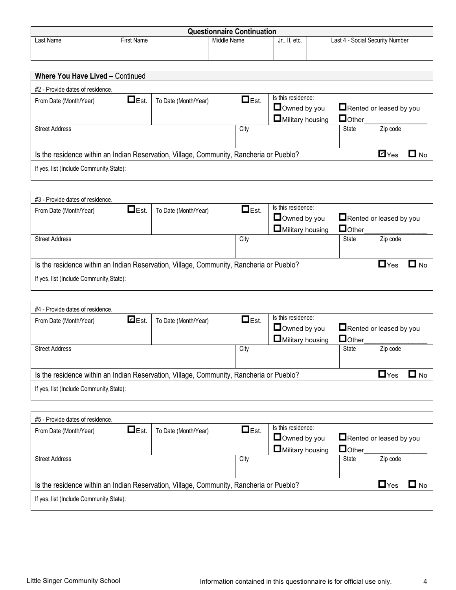| <b>Questionnaire Continuation</b> |                   |             |                          |                                 |  |  |  |  |
|-----------------------------------|-------------------|-------------|--------------------------|---------------------------------|--|--|--|--|
| Last Name                         | <b>First Name</b> | Middle Name | $\cdot$ etc.<br>Jr., II. | Last 4 - Social Security Number |  |  |  |  |
|                                   |                   |             |                          |                                 |  |  |  |  |

| <b>Where You Have Lived - Continued</b>                                                 |                      |             |                                 |                                        |                    |      |
|-----------------------------------------------------------------------------------------|----------------------|-------------|---------------------------------|----------------------------------------|--------------------|------|
| #2 - Provide dates of residence.                                                        |                      |             |                                 |                                        |                    |      |
| $\Box$ Est.<br>From Date (Month/Year)                                                   | To Date (Month/Year) | $\Box$ Est. | Is this residence:              |                                        |                    |      |
|                                                                                         |                      |             | Downed by you                   | $\blacksquare$ Rented or leased by you |                    |      |
|                                                                                         |                      |             | $\blacksquare$ Military housing | Dother                                 |                    |      |
| <b>Street Address</b>                                                                   |                      | City        |                                 | State                                  | Zip code           |      |
|                                                                                         |                      |             |                                 |                                        |                    |      |
|                                                                                         |                      |             |                                 |                                        |                    |      |
| Is the residence within an Indian Reservation, Village, Community, Rancheria or Pueblo? |                      |             |                                 |                                        | $\blacksquare$ Yes | ר ר⊑ |
| If yes, list (Include Community, State):                                                |                      |             |                                 |                                        |                    |      |
|                                                                                         |                      |             |                                 |                                        |                    |      |

| #3 - Provide dates of residence.                                                        |             |                      |             |                                 |                                |              |  |
|-----------------------------------------------------------------------------------------|-------------|----------------------|-------------|---------------------------------|--------------------------------|--------------|--|
| From Date (Month/Year)                                                                  | $\Box$ Est. | To Date (Month/Year) | $\Box$ Est. | Is this residence:              |                                |              |  |
|                                                                                         |             |                      |             | Owned by you                    | $\Box$ Rented or leased by you |              |  |
|                                                                                         |             |                      |             | $\blacksquare$ Military housing | $\Box$ Other                   |              |  |
| <b>Street Address</b>                                                                   |             |                      | City        |                                 | State                          | Zip code     |  |
|                                                                                         |             |                      |             |                                 |                                |              |  |
|                                                                                         |             |                      |             |                                 |                                |              |  |
| Is the residence within an Indian Reservation, Village, Community, Rancheria or Pueblo? |             |                      |             |                                 |                                | $\sqcup$ Yes |  |
| If yes, list (Include Community, State):                                                |             |                      |             |                                 |                                |              |  |

<u> 1980 - Andrea Santa Andrea Santa Andrea Santa Andrea Santa Andrea Santa Andrea Santa Andrea Santa Andrea San</u>

| #4 - Provide dates of residence.                                                                        |              |                      |             |                                 |                                |          |  |
|---------------------------------------------------------------------------------------------------------|--------------|----------------------|-------------|---------------------------------|--------------------------------|----------|--|
| From Date (Month/Year)                                                                                  | $\n  Est.\n$ | To Date (Month/Year) | $\Box$ Est. | Is this residence:              |                                |          |  |
|                                                                                                         |              |                      |             | Owned by you                    | $\Box$ Rented or leased by you |          |  |
|                                                                                                         |              |                      |             | $\blacksquare$ Military housing | Dother                         |          |  |
| <b>Street Address</b>                                                                                   |              |                      | City        |                                 | State                          | Zip code |  |
|                                                                                                         |              |                      |             |                                 |                                |          |  |
| Is the residence within an Indian Reservation, Village, Community, Rancheria or Pueblo?<br>$\sqcup$ Yes |              |                      |             |                                 |                                |          |  |
| If yes, list (Include Community, State):                                                                |              |                      |             |                                 |                                |          |  |

| #5 - Provide dates of residence.                                                        |             |                      |             |                                    |                                |            |       |
|-----------------------------------------------------------------------------------------|-------------|----------------------|-------------|------------------------------------|--------------------------------|------------|-------|
| From Date (Month/Year)                                                                  | $\Box$ Est. | To Date (Month/Year) | $\Box$ Est. | Is this residence:<br>Owned by you | $\Box$ Rented or leased by you |            |       |
|                                                                                         |             |                      |             | $\blacksquare$ Military housing    | $\Box$ Other                   |            |       |
| <b>Street Address</b>                                                                   |             |                      | City        |                                    | State                          | Zip code   |       |
|                                                                                         |             |                      |             |                                    |                                |            |       |
| Is the residence within an Indian Reservation, Village, Community, Rancheria or Pueblo? |             |                      |             |                                    |                                | $\Box$ Yes | ∩ ⊿ L |
| If yes, list (Include Community, State):                                                |             |                      |             |                                    |                                |            |       |

 $\overline{\phantom{0}}$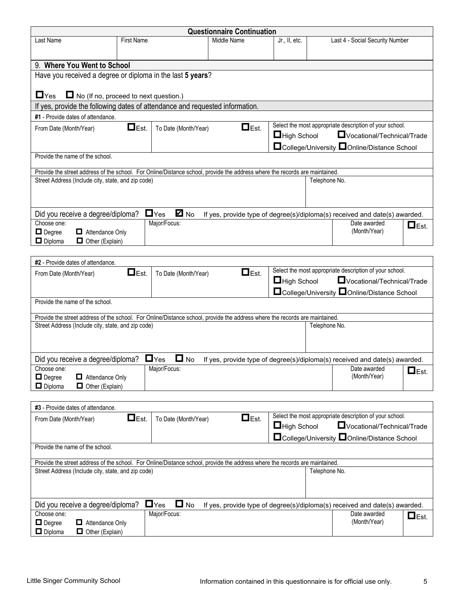|                                                                                                                             |                                                  |                                 | <b>Questionnaire Continuation</b> |                    |               |                                                                            |                     |
|-----------------------------------------------------------------------------------------------------------------------------|--------------------------------------------------|---------------------------------|-----------------------------------|--------------------|---------------|----------------------------------------------------------------------------|---------------------|
| Last Name                                                                                                                   | <b>First Name</b>                                |                                 | Middle Name                       | Jr., II, etc.      |               | Last 4 - Social Security Number                                            |                     |
|                                                                                                                             |                                                  |                                 |                                   |                    |               |                                                                            |                     |
| 9. Where You Went to School                                                                                                 |                                                  |                                 |                                   |                    |               |                                                                            |                     |
| Have you received a degree or diploma in the last 5 years?                                                                  |                                                  |                                 |                                   |                    |               |                                                                            |                     |
|                                                                                                                             |                                                  |                                 |                                   |                    |               |                                                                            |                     |
| $\Box$ Yes<br>$\Box$ No (If no, proceed to next question.)                                                                  |                                                  |                                 |                                   |                    |               |                                                                            |                     |
| If yes, provide the following dates of attendance and requested information.                                                |                                                  |                                 |                                   |                    |               |                                                                            |                     |
| #1 - Provide dates of attendance.                                                                                           |                                                  |                                 |                                   |                    |               |                                                                            |                     |
| From Date (Month/Year)                                                                                                      | $\Box$ Est.                                      | To Date (Month/Year)            | $\Box$ Est.                       |                    |               | Select the most appropriate description of your school.                    |                     |
|                                                                                                                             |                                                  |                                 |                                   | $\Box$ High School |               | Vocational/Technical/Trade                                                 |                     |
|                                                                                                                             |                                                  |                                 |                                   |                    |               | □ College/University □ Online/Distance School                              |                     |
| Provide the name of the school.                                                                                             |                                                  |                                 |                                   |                    |               |                                                                            |                     |
| Provide the street address of the school. For Online/Distance school, provide the address where the records are maintained. |                                                  |                                 |                                   |                    |               |                                                                            |                     |
| Street Address (Include city, state, and zip code)                                                                          |                                                  |                                 |                                   |                    | Telephone No. |                                                                            |                     |
|                                                                                                                             |                                                  |                                 |                                   |                    |               |                                                                            |                     |
|                                                                                                                             |                                                  |                                 |                                   |                    |               |                                                                            |                     |
| Did you receive a degree/diploma?                                                                                           |                                                  | $\blacksquare$ No<br>$\Box$ Yes |                                   |                    |               | If yes, provide type of degree(s)/diploma(s) received and date(s) awarded. |                     |
| Choose one:                                                                                                                 |                                                  | Major/Focus:                    |                                   |                    |               | Date awarded                                                               |                     |
| Attendance Only<br>$\Box$ Degree                                                                                            |                                                  |                                 |                                   |                    |               | (Month/Year)                                                               | $\Box$ Est.         |
| $\Box$ Other (Explain)<br>$\Box$ Diploma                                                                                    |                                                  |                                 |                                   |                    |               |                                                                            |                     |
|                                                                                                                             |                                                  |                                 |                                   |                    |               |                                                                            |                     |
| #2 - Provide dates of attendance.                                                                                           |                                                  |                                 |                                   |                    |               |                                                                            |                     |
| From Date (Month/Year)                                                                                                      | $\Box$ Est.                                      | To Date (Month/Year)            | $\Box$ Est.                       |                    |               | Select the most appropriate description of your school.                    |                     |
|                                                                                                                             | Vocational/Technical/Trade<br>$\Box$ High School |                                 |                                   |                    |               |                                                                            |                     |
| □ College/University □ Online/Distance School                                                                               |                                                  |                                 |                                   |                    |               |                                                                            |                     |
|                                                                                                                             | Provide the name of the school.                  |                                 |                                   |                    |               |                                                                            |                     |
| Provide the street address of the school. For Online/Distance school, provide the address where the records are maintained. |                                                  |                                 |                                   |                    |               |                                                                            |                     |
| Street Address (Include city, state, and zip code)                                                                          |                                                  |                                 |                                   |                    | Telephone No. |                                                                            |                     |
|                                                                                                                             |                                                  |                                 |                                   |                    |               |                                                                            |                     |
|                                                                                                                             |                                                  |                                 |                                   |                    |               |                                                                            |                     |
| Did you receive a degree/diploma?                                                                                           |                                                  | $\Box$ Yes<br>O<br>No           |                                   |                    |               | If yes, provide type of degree(s)/diploma(s) received and date(s) awarded. |                     |
| Choose one:                                                                                                                 |                                                  | Major/Focus:                    |                                   |                    |               | Date awarded                                                               | $\blacksquare$ Est. |
| $\Box$ Degree<br>$\Box$ Attendance Only                                                                                     |                                                  |                                 |                                   |                    |               | (Month/Year)                                                               |                     |
| $\Box$ Diploma<br>$\Box$ Other (Explain)                                                                                    |                                                  |                                 |                                   |                    |               |                                                                            |                     |
|                                                                                                                             |                                                  |                                 |                                   |                    |               |                                                                            |                     |
| #3 - Provide dates of attendance.                                                                                           |                                                  |                                 |                                   |                    |               | Select the most appropriate description of your school.                    |                     |
| From Date (Month/Year)                                                                                                      | $\Box$ Est.                                      | To Date (Month/Year)            | $\Box$ Est.                       | $\Box$ High School |               | Vocational/Technical/Trade                                                 |                     |
|                                                                                                                             |                                                  |                                 |                                   |                    |               |                                                                            |                     |
| Provide the name of the school.                                                                                             |                                                  |                                 |                                   |                    |               | □ College/University □ Online/Distance School                              |                     |
|                                                                                                                             |                                                  |                                 |                                   |                    |               |                                                                            |                     |
| Provide the street address of the school. For Online/Distance school, provide the address where the records are maintained. |                                                  |                                 |                                   |                    |               |                                                                            |                     |
| Street Address (Include city, state, and zip code)                                                                          |                                                  |                                 |                                   |                    | Telephone No. |                                                                            |                     |
|                                                                                                                             |                                                  |                                 |                                   |                    |               |                                                                            |                     |
|                                                                                                                             |                                                  |                                 |                                   |                    |               |                                                                            |                     |
| Did you receive a degree/diploma?                                                                                           |                                                  | $\Box$ No<br>$\Box$ Yes         |                                   |                    |               | If yes, provide type of degree(s)/diploma(s) received and date(s) awarded. |                     |
| Choose one:                                                                                                                 |                                                  | Major/Focus:                    |                                   |                    |               | Date awarded                                                               | $\Box$ Est.         |
| $\Box$ Degree<br>Attendance Only                                                                                            |                                                  |                                 |                                   |                    |               | (Month/Year)                                                               |                     |
| $\Box$ Diploma<br>$\Box$ Other (Explain)                                                                                    |                                                  |                                 |                                   |                    |               |                                                                            |                     |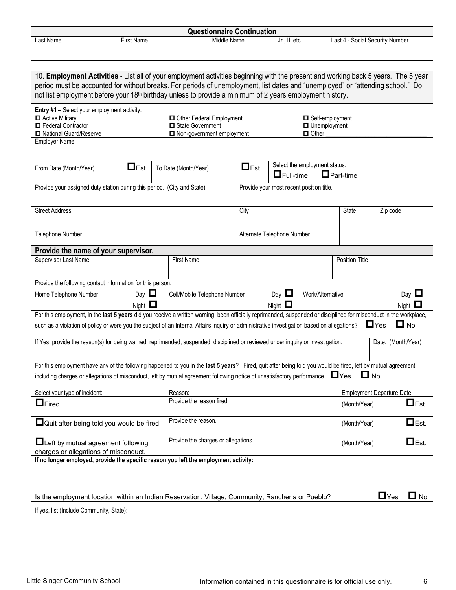|                                                                                                                                                                    |                   |                                               |             | <b>Questionnaire Continuation</b> |                                          |                                     |                  |                                   |
|--------------------------------------------------------------------------------------------------------------------------------------------------------------------|-------------------|-----------------------------------------------|-------------|-----------------------------------|------------------------------------------|-------------------------------------|------------------|-----------------------------------|
| Last Name                                                                                                                                                          | <b>First Name</b> |                                               | Middle Name |                                   | Jr., II, etc.                            |                                     |                  | Last 4 - Social Security Number   |
|                                                                                                                                                                    |                   |                                               |             |                                   |                                          |                                     |                  |                                   |
|                                                                                                                                                                    |                   |                                               |             |                                   |                                          |                                     |                  |                                   |
| 10. Employment Activities - List all of your employment activities beginning with the present and working back 5 years. The 5 year                                 |                   |                                               |             |                                   |                                          |                                     |                  |                                   |
| period must be accounted for without breaks. For periods of unemployment, list dates and "unemployed" or "attending school." Do                                    |                   |                                               |             |                                   |                                          |                                     |                  |                                   |
| not list employment before your 18 <sup>th</sup> birthday unless to provide a minimum of 2 years employment history.                                               |                   |                                               |             |                                   |                                          |                                     |                  |                                   |
| Entry #1 - Select your employment activity.                                                                                                                        |                   |                                               |             |                                   |                                          |                                     |                  |                                   |
| Active Military                                                                                                                                                    |                   | Other Federal Employment                      |             |                                   |                                          | Self-employment                     |                  |                                   |
| Federal Contractor<br>National Guard/Reserve                                                                                                                       |                   | State Government<br>Non-government employment |             |                                   |                                          | <b>Unemployment</b><br>$\Box$ Other |                  |                                   |
| <b>Employer Name</b>                                                                                                                                               |                   |                                               |             |                                   |                                          |                                     |                  |                                   |
|                                                                                                                                                                    |                   |                                               |             |                                   |                                          |                                     |                  |                                   |
|                                                                                                                                                                    | $\Box$ Est.       |                                               |             | $\Box$ Est.                       |                                          | Select the employment status:       |                  |                                   |
| From Date (Month/Year)                                                                                                                                             |                   | To Date (Month/Year)                          |             |                                   | $\Box$ Full-time                         |                                     | $\Box$ Part-time |                                   |
| Provide your assigned duty station during this period. (City and State)                                                                                            |                   |                                               |             |                                   | Provide your most recent position title. |                                     |                  |                                   |
|                                                                                                                                                                    |                   |                                               |             |                                   |                                          |                                     |                  |                                   |
| <b>Street Address</b>                                                                                                                                              |                   |                                               |             |                                   |                                          |                                     |                  |                                   |
|                                                                                                                                                                    |                   |                                               |             | City                              |                                          |                                     | <b>State</b>     | Zip code                          |
|                                                                                                                                                                    |                   |                                               |             |                                   |                                          |                                     |                  |                                   |
| Telephone Number                                                                                                                                                   |                   |                                               |             |                                   | Alternate Telephone Number               |                                     |                  |                                   |
| Provide the name of your supervisor.                                                                                                                               |                   |                                               |             |                                   |                                          |                                     |                  |                                   |
| Supervisor Last Name                                                                                                                                               |                   | <b>First Name</b>                             |             |                                   |                                          |                                     | Position Title   |                                   |
|                                                                                                                                                                    |                   |                                               |             |                                   |                                          |                                     |                  |                                   |
| Provide the following contact information for this person.                                                                                                         |                   |                                               |             |                                   |                                          |                                     |                  |                                   |
| Home Telephone Number                                                                                                                                              | Day $\Box$        | Cell/Mobile Telephone Number                  |             |                                   | Day $\Box$                               | Work/Alternative                    |                  | Day $\Box$                        |
|                                                                                                                                                                    | Night $\Box$      |                                               |             |                                   | Night $\Box$                             |                                     |                  | Night $\Box$                      |
| For this employment, in the last 5 years did you receive a written warning, been officially reprimanded, suspended or disciplined for misconduct in the workplace, |                   |                                               |             |                                   |                                          |                                     |                  |                                   |
| such as a violation of policy or were you the subject of an Internal Affairs inquiry or administrative investigation based on allegations?                         |                   |                                               |             |                                   |                                          |                                     |                  | $\Box$ No<br>$\Box$ Yes           |
|                                                                                                                                                                    |                   |                                               |             |                                   |                                          |                                     |                  |                                   |
| If Yes, provide the reason(s) for being warned, reprimanded, suspended, disciplined or reviewed under inquiry or investigation.                                    |                   |                                               |             |                                   |                                          |                                     |                  | Date: (Month/Year)                |
|                                                                                                                                                                    |                   |                                               |             |                                   |                                          |                                     |                  |                                   |
| For this employment have any of the following happened to you in the last 5 years? Fired, quit after being told you would be fired, left by mutual agreement       |                   |                                               |             |                                   |                                          |                                     |                  |                                   |
| including charges or allegations of misconduct, left by mutual agreement following notice of unsatisfactory performance.<br>>>>>>                                  |                   |                                               |             |                                   |                                          |                                     |                  | $\Box$ No                         |
| Select your type of incident:                                                                                                                                      |                   |                                               |             |                                   |                                          |                                     |                  | <b>Employment Departure Date:</b> |
|                                                                                                                                                                    |                   | Reason:<br>Provide the reason fired.          |             |                                   |                                          |                                     |                  |                                   |
| $\Box$ Fired                                                                                                                                                       |                   |                                               |             |                                   |                                          |                                     | (Month/Year)     | $\Box$ Est.                       |
|                                                                                                                                                                    |                   | Provide the reason.                           |             |                                   |                                          |                                     |                  | $\blacksquare$ Est.               |
| $\Box$ Quit after being told you would be fired                                                                                                                    |                   |                                               |             |                                   |                                          |                                     | (Month/Year)     |                                   |
| $\blacksquare$ Left by mutual agreement following                                                                                                                  |                   | Provide the charges or allegations.           |             |                                   |                                          |                                     | (Month/Year)     | $\Box$ Est.                       |
| charges or allegations of misconduct.                                                                                                                              |                   |                                               |             |                                   |                                          |                                     |                  |                                   |
| If no longer employed, provide the specific reason you left the employment activity:                                                                               |                   |                                               |             |                                   |                                          |                                     |                  |                                   |
|                                                                                                                                                                    |                   |                                               |             |                                   |                                          |                                     |                  |                                   |
|                                                                                                                                                                    |                   |                                               |             |                                   |                                          |                                     |                  |                                   |
|                                                                                                                                                                    |                   |                                               |             |                                   |                                          |                                     |                  |                                   |
| Is the employment location within an Indian Reservation, Village, Community, Rancheria or Pueblo?                                                                  |                   |                                               |             |                                   |                                          |                                     |                  | $\Box$ Yes<br>$\Box$ No           |

If yes, list (Include Community, State):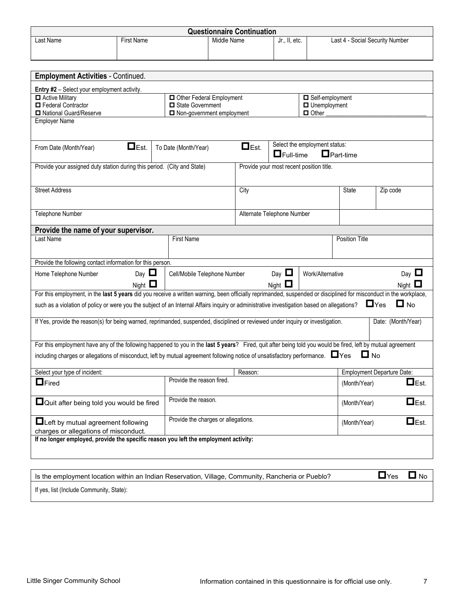|                                                                                                                                                                    |                   |  | <b>Questionnaire Continuation</b>   |             |                  |                                          |                                   |                    |              |
|--------------------------------------------------------------------------------------------------------------------------------------------------------------------|-------------------|--|-------------------------------------|-------------|------------------|------------------------------------------|-----------------------------------|--------------------|--------------|
| Last Name                                                                                                                                                          | <b>First Name</b> |  | Middle Name                         |             | Jr., II, etc.    |                                          | Last 4 - Social Security Number   |                    |              |
|                                                                                                                                                                    |                   |  |                                     |             |                  |                                          |                                   |                    |              |
|                                                                                                                                                                    |                   |  |                                     |             |                  |                                          |                                   |                    |              |
| <b>Employment Activities - Continued.</b>                                                                                                                          |                   |  |                                     |             |                  |                                          |                                   |                    |              |
|                                                                                                                                                                    |                   |  |                                     |             |                  |                                          |                                   |                    |              |
| Entry #2 - Select your employment activity.<br>Active Military                                                                                                     |                   |  | Other Federal Employment            |             |                  | Self-employment                          |                                   |                    |              |
| Federal Contractor                                                                                                                                                 |                   |  | State Government                    |             |                  | $\Box$ Unemployment                      |                                   |                    |              |
| National Guard/Reserve                                                                                                                                             |                   |  | Non-government employment           |             |                  | $\Box$ Other                             |                                   |                    |              |
| <b>Employer Name</b>                                                                                                                                               |                   |  |                                     |             |                  |                                          |                                   |                    |              |
|                                                                                                                                                                    |                   |  |                                     |             |                  |                                          |                                   |                    |              |
| From Date (Month/Year)                                                                                                                                             | $\Box$ Est.       |  | To Date (Month/Year)                | $\Box$ Est. |                  | Select the employment status:            |                                   |                    |              |
|                                                                                                                                                                    |                   |  |                                     |             | $\Box$ Full-time |                                          | $\Box$ Part-time                  |                    |              |
| Provide your assigned duty station during this period. (City and State)                                                                                            |                   |  |                                     |             |                  | Provide your most recent position title. |                                   |                    |              |
|                                                                                                                                                                    |                   |  |                                     |             |                  |                                          |                                   |                    |              |
| <b>Street Address</b>                                                                                                                                              |                   |  |                                     | City        |                  |                                          | <b>State</b>                      | Zip code           |              |
|                                                                                                                                                                    |                   |  |                                     |             |                  |                                          |                                   |                    |              |
|                                                                                                                                                                    |                   |  |                                     |             |                  |                                          |                                   |                    |              |
| Telephone Number<br>Alternate Telephone Number                                                                                                                     |                   |  |                                     |             |                  |                                          |                                   |                    |              |
| Provide the name of your supervisor.                                                                                                                               |                   |  |                                     |             |                  |                                          |                                   |                    |              |
| Last Name                                                                                                                                                          |                   |  | <b>First Name</b>                   |             |                  |                                          | <b>Position Title</b>             |                    |              |
|                                                                                                                                                                    |                   |  |                                     |             |                  |                                          |                                   |                    |              |
| Provide the following contact information for this person.                                                                                                         |                   |  |                                     |             |                  |                                          |                                   |                    |              |
|                                                                                                                                                                    | Day $\Box$        |  |                                     |             | Day $\Box$       |                                          |                                   |                    | Day $\Box$   |
| Home Telephone Number                                                                                                                                              |                   |  | Cell/Mobile Telephone Number        |             |                  | Work/Alternative                         |                                   |                    |              |
| For this employment, in the last 5 years did you receive a written warning, been officially reprimanded, suspended or disciplined for misconduct in the workplace, | Night $\Box$      |  |                                     |             | Night $\Box$     |                                          |                                   |                    | Night $\Box$ |
|                                                                                                                                                                    |                   |  |                                     |             |                  |                                          |                                   | $\Box$ Yes         | $\Box$ No    |
| such as a violation of policy or were you the subject of an Internal Affairs inquiry or administrative investigation based on allegations?                         |                   |  |                                     |             |                  |                                          |                                   |                    |              |
| If Yes, provide the reason(s) for being warned, reprimanded, suspended, disciplined or reviewed under inquiry or investigation.                                    |                   |  |                                     |             |                  |                                          |                                   | Date: (Month/Year) |              |
|                                                                                                                                                                    |                   |  |                                     |             |                  |                                          |                                   |                    |              |
| For this employment have any of the following happened to you in the last 5 years? Fired, quit after being told you would be fired, left by mutual agreement       |                   |  |                                     |             |                  |                                          |                                   |                    |              |
| including charges or allegations of misconduct, left by mutual agreement following notice of unsatisfactory performance.<br><a></a>                                |                   |  |                                     |             |                  |                                          | $\blacksquare$ No                 |                    |              |
|                                                                                                                                                                    |                   |  |                                     |             |                  |                                          |                                   |                    |              |
| Select your type of incident:                                                                                                                                      |                   |  |                                     | Reason:     |                  |                                          | <b>Employment Departure Date:</b> |                    |              |
| $\Box$ Fired                                                                                                                                                       |                   |  | Provide the reason fired.           |             |                  |                                          | (Month/Year)                      |                    | $\Box$ Est.  |
|                                                                                                                                                                    |                   |  |                                     |             |                  |                                          |                                   |                    |              |
| $\Box$ Quit after being told you would be fired                                                                                                                    |                   |  | Provide the reason.                 |             |                  |                                          | (Month/Year)                      |                    | $\Box$ Est.  |
|                                                                                                                                                                    |                   |  |                                     |             |                  |                                          |                                   |                    |              |
| $\blacksquare$ Left by mutual agreement following                                                                                                                  |                   |  | Provide the charges or allegations. |             |                  |                                          | (Month/Year)                      |                    | $\Box$ Est.  |
| charges or allegations of misconduct.<br>If no longer employed, provide the specific reason you left the employment activity:                                      |                   |  |                                     |             |                  |                                          |                                   |                    |              |
|                                                                                                                                                                    |                   |  |                                     |             |                  |                                          |                                   |                    |              |
|                                                                                                                                                                    |                   |  |                                     |             |                  |                                          |                                   |                    |              |
|                                                                                                                                                                    |                   |  |                                     |             |                  |                                          |                                   |                    |              |

| Is the employment location within an Indian Reservation, Village, Community, Rancheria or Pueblo? | $\Box$ Yes $\Box$ No |  |
|---------------------------------------------------------------------------------------------------|----------------------|--|
| If yes, list (Include Community, State):                                                          |                      |  |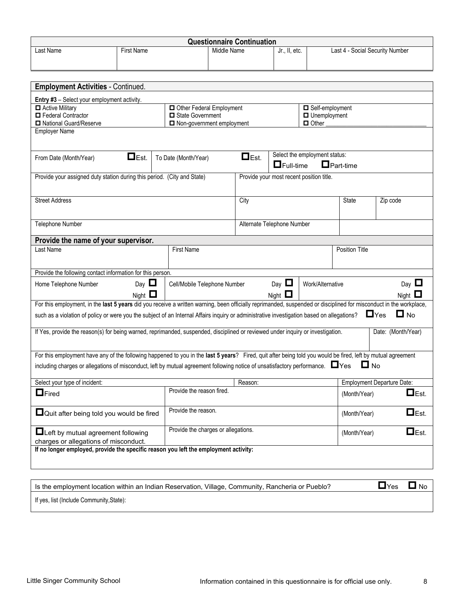| <b>Questionnaire Continuation</b>                                                                                                                                  |                   |                                           |             |             |                                          |                               |                       |                                   |  |
|--------------------------------------------------------------------------------------------------------------------------------------------------------------------|-------------------|-------------------------------------------|-------------|-------------|------------------------------------------|-------------------------------|-----------------------|-----------------------------------|--|
| Last Name                                                                                                                                                          | <b>First Name</b> |                                           | Middle Name |             | Jr., II, etc.                            |                               |                       | Last 4 - Social Security Number   |  |
|                                                                                                                                                                    |                   |                                           |             |             |                                          |                               |                       |                                   |  |
|                                                                                                                                                                    |                   |                                           |             |             |                                          |                               |                       |                                   |  |
| <b>Employment Activities - Continued.</b>                                                                                                                          |                   |                                           |             |             |                                          |                               |                       |                                   |  |
| <b>Entry #3</b> - Select your employment activity.                                                                                                                 |                   |                                           |             |             |                                          |                               |                       |                                   |  |
| Active Military                                                                                                                                                    |                   | Other Federal Employment                  |             |             |                                          | Self-employment               |                       |                                   |  |
| Federal Contractor                                                                                                                                                 |                   | State Government                          |             |             |                                          | □ Unemployment                |                       |                                   |  |
| National Guard/Reserve                                                                                                                                             |                   | Non-government employment<br>$\Box$ Other |             |             |                                          |                               |                       |                                   |  |
| <b>Employer Name</b>                                                                                                                                               |                   |                                           |             |             |                                          |                               |                       |                                   |  |
|                                                                                                                                                                    |                   |                                           |             |             |                                          |                               |                       |                                   |  |
| From Date (Month/Year)                                                                                                                                             | $\Box$ Est.       | To Date (Month/Year)                      |             | $\Box$ Est. |                                          | Select the employment status: |                       |                                   |  |
|                                                                                                                                                                    |                   |                                           |             |             | $\Box$ Full-time                         |                               | $\Box$ Part-time      |                                   |  |
| Provide your assigned duty station during this period. (City and State)                                                                                            |                   |                                           |             |             | Provide your most recent position title. |                               |                       |                                   |  |
|                                                                                                                                                                    |                   |                                           |             |             |                                          |                               |                       |                                   |  |
| <b>Street Address</b>                                                                                                                                              |                   |                                           |             | City        |                                          |                               | State                 | Zip code                          |  |
|                                                                                                                                                                    |                   |                                           |             |             |                                          |                               |                       |                                   |  |
|                                                                                                                                                                    |                   |                                           |             |             |                                          |                               |                       |                                   |  |
| Telephone Number<br>Alternate Telephone Number                                                                                                                     |                   |                                           |             |             |                                          |                               |                       |                                   |  |
| Provide the name of your supervisor.                                                                                                                               |                   |                                           |             |             |                                          |                               |                       |                                   |  |
| Last Name                                                                                                                                                          |                   | <b>First Name</b>                         |             |             |                                          |                               | <b>Position Title</b> |                                   |  |
|                                                                                                                                                                    |                   |                                           |             |             |                                          |                               |                       |                                   |  |
| Provide the following contact information for this person.                                                                                                         |                   |                                           |             |             |                                          |                               |                       |                                   |  |
| Home Telephone Number                                                                                                                                              | Day $\Box$        | Cell/Mobile Telephone Number              |             |             | Day $\Box$                               | Work/Alternative              |                       | Day $\Box$                        |  |
|                                                                                                                                                                    | Night $\Box$      |                                           |             |             | Night $\Box$                             |                               |                       | Night $\Box$                      |  |
| For this employment, in the last 5 years did you receive a written warning, been officially reprimanded, suspended or disciplined for misconduct in the workplace, |                   |                                           |             |             |                                          |                               |                       |                                   |  |
| such as a violation of policy or were you the subject of an Internal Affairs inquiry or administrative investigation based on allegations? $\square$ Yes           |                   |                                           |             |             |                                          |                               |                       | $\Box$ No                         |  |
|                                                                                                                                                                    |                   |                                           |             |             |                                          |                               |                       |                                   |  |
| If Yes, provide the reason(s) for being warned, reprimanded, suspended, disciplined or reviewed under inquiry or investigation.                                    |                   |                                           |             |             |                                          |                               |                       | Date: (Month/Year)                |  |
|                                                                                                                                                                    |                   |                                           |             |             |                                          |                               |                       |                                   |  |
| For this employment have any of the following happened to you in the last 5 years? Fired, quit after being told you would be fired, left by mutual agreement       |                   |                                           |             |             |                                          |                               |                       |                                   |  |
| including charges or allegations of misconduct, left by mutual agreement following notice of unsatisfactory performance.<br>Yes                                    |                   |                                           |             |             |                                          |                               | $\Box$ No             |                                   |  |
| Select your type of incident:                                                                                                                                      |                   |                                           |             | Reason:     |                                          |                               |                       | <b>Employment Departure Date:</b> |  |
|                                                                                                                                                                    |                   | Provide the reason fired.                 |             |             |                                          |                               |                       |                                   |  |
| $\Box$ Fired                                                                                                                                                       |                   |                                           |             |             |                                          |                               | (Month/Year)          | $\Box$ Est.                       |  |
| $\Box$ Quit after being told you would be fired                                                                                                                    |                   | Provide the reason.                       |             |             |                                          |                               | (Month/Year)          | $\Box$ Est.                       |  |
|                                                                                                                                                                    |                   |                                           |             |             |                                          |                               |                       |                                   |  |
| $\blacksquare$ Left by mutual agreement following                                                                                                                  |                   | Provide the charges or allegations.       |             |             | (Month/Year)                             | $\Box$ Est.                   |                       |                                   |  |
| charges or allegations of misconduct.                                                                                                                              |                   |                                           |             |             |                                          |                               |                       |                                   |  |
| If no longer employed, provide the specific reason you left the employment activity:                                                                               |                   |                                           |             |             |                                          |                               |                       |                                   |  |
|                                                                                                                                                                    |                   |                                           |             |             |                                          |                               |                       |                                   |  |
|                                                                                                                                                                    |                   |                                           |             |             |                                          |                               |                       |                                   |  |
| Is the employment location within an Indian Reservation, Village, Community, Rancheria or Pueblo?                                                                  |                   |                                           |             |             |                                          |                               |                       | $\Box$ Yes<br>$\Box$ No           |  |
|                                                                                                                                                                    |                   |                                           |             |             |                                          |                               |                       |                                   |  |

If yes, list (Include Community,State):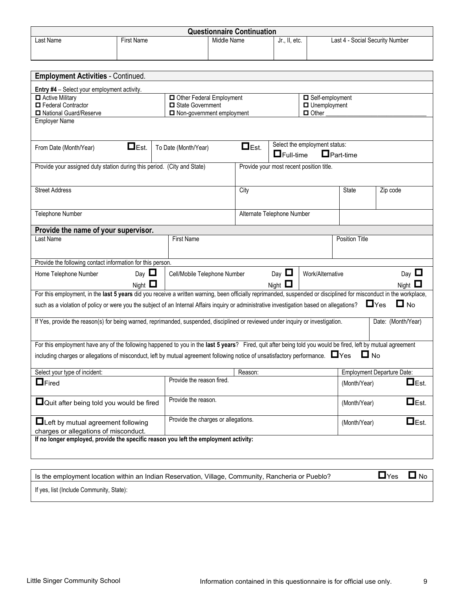|                                                                                                                                                                    |                   |                                     | <b>Questionnaire Continuation</b> |                                          |                               |                                 |                                   |                     |
|--------------------------------------------------------------------------------------------------------------------------------------------------------------------|-------------------|-------------------------------------|-----------------------------------|------------------------------------------|-------------------------------|---------------------------------|-----------------------------------|---------------------|
| Last Name                                                                                                                                                          | <b>First Name</b> |                                     | Middle Name                       | Jr., II, etc.                            |                               | Last 4 - Social Security Number |                                   |                     |
|                                                                                                                                                                    |                   |                                     |                                   |                                          |                               |                                 |                                   |                     |
|                                                                                                                                                                    |                   |                                     |                                   |                                          |                               |                                 |                                   |                     |
| <b>Employment Activities - Continued.</b>                                                                                                                          |                   |                                     |                                   |                                          |                               |                                 |                                   |                     |
|                                                                                                                                                                    |                   |                                     |                                   |                                          |                               |                                 |                                   |                     |
| Entry #4 - Select your employment activity.<br>Active Military                                                                                                     |                   | Other Federal Employment            |                                   |                                          | Self-employment               |                                 |                                   |                     |
| Federal Contractor                                                                                                                                                 |                   | State Government                    |                                   |                                          | $\Box$ Unemployment           |                                 |                                   |                     |
| National Guard/Reserve                                                                                                                                             |                   | $\Box$ Non-government employment    |                                   |                                          | □ Other                       |                                 |                                   |                     |
| <b>Employer Name</b>                                                                                                                                               |                   |                                     |                                   |                                          |                               |                                 |                                   |                     |
|                                                                                                                                                                    |                   |                                     |                                   |                                          |                               |                                 |                                   |                     |
| From Date (Month/Year)                                                                                                                                             | $\Box$ Est.       | To Date (Month/Year)                | $\Box$ Est.                       |                                          | Select the employment status: |                                 |                                   |                     |
|                                                                                                                                                                    |                   |                                     |                                   | $\Box$ Full-time                         |                               | $\Box$ Part-time                |                                   |                     |
| Provide your assigned duty station during this period. (City and State)                                                                                            |                   |                                     |                                   | Provide your most recent position title. |                               |                                 |                                   |                     |
|                                                                                                                                                                    |                   |                                     |                                   |                                          |                               |                                 |                                   |                     |
| <b>Street Address</b>                                                                                                                                              |                   |                                     | City                              |                                          |                               | State                           | Zip code                          |                     |
|                                                                                                                                                                    |                   |                                     |                                   |                                          |                               |                                 |                                   |                     |
| Telephone Number                                                                                                                                                   |                   |                                     |                                   | Alternate Telephone Number               |                               |                                 |                                   |                     |
|                                                                                                                                                                    |                   |                                     |                                   |                                          |                               |                                 |                                   |                     |
| Provide the name of your supervisor.                                                                                                                               |                   |                                     |                                   |                                          |                               |                                 |                                   |                     |
| Last Name                                                                                                                                                          |                   | <b>First Name</b>                   |                                   |                                          |                               | <b>Position Title</b>           |                                   |                     |
|                                                                                                                                                                    |                   |                                     |                                   |                                          |                               |                                 |                                   |                     |
| Provide the following contact information for this person.                                                                                                         |                   |                                     |                                   |                                          |                               |                                 |                                   |                     |
| Home Telephone Number                                                                                                                                              | Day $\Box$        | Cell/Mobile Telephone Number        |                                   | Day $\Box$                               | Work/Alternative              |                                 |                                   | Day $\Box$          |
|                                                                                                                                                                    | Night $\Box$      |                                     |                                   | Night $\square$                          |                               |                                 |                                   | Night $\Box$        |
| For this employment, in the last 5 years did you receive a written warning, been officially reprimanded, suspended or disciplined for misconduct in the workplace, |                   |                                     |                                   |                                          |                               |                                 |                                   |                     |
| such as a violation of policy or were you the subject of an Internal Affairs inquiry or administrative investigation based on allegations?                         |                   |                                     |                                   |                                          |                               |                                 | $\Box$ Yes                        | $\Box$ No           |
|                                                                                                                                                                    |                   |                                     |                                   |                                          |                               |                                 |                                   |                     |
| If Yes, provide the reason(s) for being warned, reprimanded, suspended, disciplined or reviewed under inquiry or investigation.                                    |                   |                                     |                                   |                                          |                               |                                 | Date: (Month/Year)                |                     |
|                                                                                                                                                                    |                   |                                     |                                   |                                          |                               |                                 |                                   |                     |
| For this employment have any of the following happened to you in the last 5 years? Fired, quit after being told you would be fired, left by mutual agreement       |                   |                                     |                                   |                                          |                               |                                 |                                   |                     |
| including charges or allegations of misconduct, left by mutual agreement following notice of unsatisfactory performance.<br><br>Yes                                |                   |                                     |                                   |                                          |                               |                                 | $\Box$ No                         |                     |
|                                                                                                                                                                    |                   |                                     |                                   |                                          |                               |                                 | <b>Employment Departure Date:</b> |                     |
| Select your type of incident:                                                                                                                                      |                   | Provide the reason fired.           | Reason:                           |                                          |                               |                                 |                                   |                     |
| $\Box$ Fired                                                                                                                                                       |                   |                                     |                                   |                                          |                               | (Month/Year)                    |                                   | $\Box$ Est.         |
| $\Box$ Quit after being told you would be fired                                                                                                                    |                   | Provide the reason.                 |                                   |                                          |                               | (Month/Year)                    |                                   | $\Box$ Est.         |
|                                                                                                                                                                    |                   |                                     |                                   |                                          |                               |                                 |                                   |                     |
| $\Box$ Left by mutual agreement following                                                                                                                          |                   | Provide the charges or allegations. |                                   |                                          |                               | (Month/Year)                    |                                   | $\blacksquare$ Est. |
| charges or allegations of misconduct.                                                                                                                              |                   |                                     |                                   |                                          |                               |                                 |                                   |                     |
| If no longer employed, provide the specific reason you left the employment activity:                                                                               |                   |                                     |                                   |                                          |                               |                                 |                                   |                     |
|                                                                                                                                                                    |                   |                                     |                                   |                                          |                               |                                 |                                   |                     |
|                                                                                                                                                                    |                   |                                     |                                   |                                          |                               |                                 |                                   |                     |
|                                                                                                                                                                    |                   |                                     |                                   |                                          |                               |                                 |                                   |                     |

| Is the employment location within an Indian Reservation, Village, Community, Rancheria or Pueblo? | $\Box$ Yes $\Box$ No |  |
|---------------------------------------------------------------------------------------------------|----------------------|--|
| If yes, list (Include Community, State):                                                          |                      |  |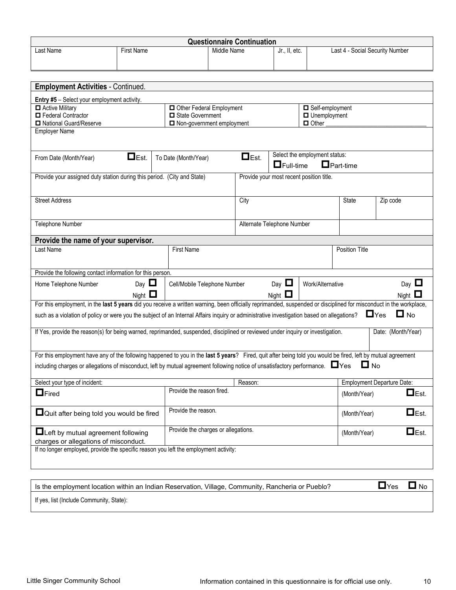| <b>Questionnaire Continuation</b>                                                                                                                                  |                   |  |                                     |             |             |                                          |                               |                                   |            |                    |
|--------------------------------------------------------------------------------------------------------------------------------------------------------------------|-------------------|--|-------------------------------------|-------------|-------------|------------------------------------------|-------------------------------|-----------------------------------|------------|--------------------|
| Last Name                                                                                                                                                          | <b>First Name</b> |  |                                     | Middle Name |             | Jr., II, etc.                            |                               | Last 4 - Social Security Number   |            |                    |
|                                                                                                                                                                    |                   |  |                                     |             |             |                                          |                               |                                   |            |                    |
|                                                                                                                                                                    |                   |  |                                     |             |             |                                          |                               |                                   |            |                    |
| <b>Employment Activities - Continued.</b>                                                                                                                          |                   |  |                                     |             |             |                                          |                               |                                   |            |                    |
|                                                                                                                                                                    |                   |  |                                     |             |             |                                          |                               |                                   |            |                    |
| <b>Entry #5</b> - Select your employment activity.<br>Active Military                                                                                              |                   |  | Other Federal Employment            |             |             |                                          | Self-employment               |                                   |            |                    |
| Federal Contractor                                                                                                                                                 |                   |  | State Government                    |             |             |                                          | □ Unemployment                |                                   |            |                    |
| National Guard/Reserve                                                                                                                                             |                   |  | Non-government employment           |             |             |                                          | $\Box$ Other                  |                                   |            |                    |
| <b>Employer Name</b>                                                                                                                                               |                   |  |                                     |             |             |                                          |                               |                                   |            |                    |
|                                                                                                                                                                    |                   |  |                                     |             |             |                                          |                               |                                   |            |                    |
| From Date (Month/Year)                                                                                                                                             | $\Box$ Est.       |  | To Date (Month/Year)                |             | $\Box$ Est. |                                          | Select the employment status: |                                   |            |                    |
|                                                                                                                                                                    |                   |  |                                     |             |             | $\Box$ Full-time                         |                               | $\Box$ Part-time                  |            |                    |
| Provide your assigned duty station during this period. (City and State)                                                                                            |                   |  |                                     |             |             | Provide your most recent position title. |                               |                                   |            |                    |
|                                                                                                                                                                    |                   |  |                                     |             |             |                                          |                               |                                   |            |                    |
|                                                                                                                                                                    |                   |  |                                     |             |             |                                          |                               |                                   |            |                    |
| <b>Street Address</b>                                                                                                                                              |                   |  |                                     |             | City        |                                          |                               | State                             | Zip code   |                    |
|                                                                                                                                                                    |                   |  |                                     |             |             |                                          |                               |                                   |            |                    |
| Telephone Number<br>Alternate Telephone Number                                                                                                                     |                   |  |                                     |             |             |                                          |                               |                                   |            |                    |
| Provide the name of your supervisor.                                                                                                                               |                   |  |                                     |             |             |                                          |                               |                                   |            |                    |
| Last Name                                                                                                                                                          |                   |  | <b>First Name</b>                   |             |             |                                          |                               | <b>Position Title</b>             |            |                    |
|                                                                                                                                                                    |                   |  |                                     |             |             |                                          |                               |                                   |            |                    |
|                                                                                                                                                                    |                   |  |                                     |             |             |                                          |                               |                                   |            |                    |
| Provide the following contact information for this person.                                                                                                         |                   |  |                                     |             |             |                                          |                               |                                   |            |                    |
| Home Telephone Number                                                                                                                                              | Day $\Box$        |  | Cell/Mobile Telephone Number        |             |             | Day $\Box$                               | Work/Alternative              |                                   |            | Day $\Box$         |
|                                                                                                                                                                    | Night $\Box$      |  |                                     |             |             | Night $\Box$                             |                               |                                   |            | Night $\square$    |
| For this employment, in the last 5 years did you receive a written warning, been officially reprimanded, suspended or disciplined for misconduct in the workplace, |                   |  |                                     |             |             |                                          |                               |                                   |            |                    |
| such as a violation of policy or were you the subject of an Internal Affairs inquiry or administrative investigation based on allegations?                         |                   |  |                                     |             |             |                                          |                               |                                   | $\Box$ Yes | $\Box$ No          |
| If Yes, provide the reason(s) for being warned, reprimanded, suspended, disciplined or reviewed under inquiry or investigation.                                    |                   |  |                                     |             |             |                                          |                               |                                   |            | Date: (Month/Year) |
|                                                                                                                                                                    |                   |  |                                     |             |             |                                          |                               |                                   |            |                    |
| For this employment have any of the following happened to you in the last 5 years? Fired, quit after being told you would be fired, left by mutual agreement       |                   |  |                                     |             |             |                                          |                               |                                   |            |                    |
|                                                                                                                                                                    |                   |  |                                     |             |             |                                          |                               |                                   | $\Box$ No  |                    |
| including charges or allegations of misconduct, left by mutual agreement following notice of unsatisfactory performance.<br>>>>>>                                  |                   |  |                                     |             |             |                                          |                               |                                   |            |                    |
| Select your type of incident:                                                                                                                                      |                   |  |                                     |             | Reason:     |                                          |                               | <b>Employment Departure Date:</b> |            |                    |
| $\Box$ Fired                                                                                                                                                       |                   |  | Provide the reason fired.           |             |             |                                          |                               | (Month/Year)                      |            | $\Box$ Est.        |
|                                                                                                                                                                    |                   |  |                                     |             |             |                                          |                               |                                   |            |                    |
| $\Box$ Quit after being told you would be fired                                                                                                                    |                   |  | Provide the reason.                 |             |             |                                          |                               | (Month/Year)                      |            | $\Box$ Est.        |
|                                                                                                                                                                    |                   |  |                                     |             |             |                                          |                               |                                   |            |                    |
| $\blacksquare$ Left by mutual agreement following                                                                                                                  |                   |  | Provide the charges or allegations. |             |             |                                          |                               | (Month/Year)                      |            | $\Box$ Est.        |
| charges or allegations of misconduct.                                                                                                                              |                   |  |                                     |             |             |                                          |                               |                                   |            |                    |
| If no longer employed, provide the specific reason you left the employment activity:                                                                               |                   |  |                                     |             |             |                                          |                               |                                   |            |                    |
|                                                                                                                                                                    |                   |  |                                     |             |             |                                          |                               |                                   |            |                    |
|                                                                                                                                                                    |                   |  |                                     |             |             |                                          |                               |                                   |            |                    |
| Is the employment location within an Indian Reservation, Village, Community, Rancheria or Pueblo?                                                                  |                   |  |                                     |             |             |                                          |                               |                                   | $\Box$ Yes | $\Box$ No          |

If yes, list (Include Community, State):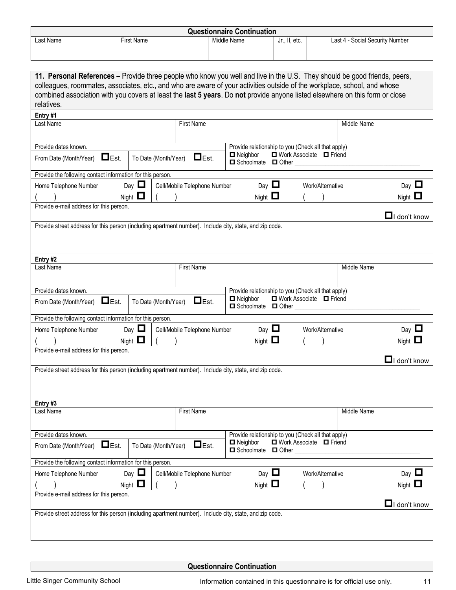| <b>Questionnaire Continuation</b> |                   |             |               |                                 |  |  |
|-----------------------------------|-------------------|-------------|---------------|---------------------------------|--|--|
| Last Name                         | <b>First Name</b> | Middle Name | Jr., II, etc. | Last 4 - Social Security Number |  |  |
|                                   |                   |             |               |                                 |  |  |

| 11. Personal References – Provide three people who know you well and live in the U.S. They should be good friends, peers,                  |                      |                              |                                                   |              |                                                    |             |                     |
|--------------------------------------------------------------------------------------------------------------------------------------------|----------------------|------------------------------|---------------------------------------------------|--------------|----------------------------------------------------|-------------|---------------------|
| colleagues, roommates, associates, etc., and who are aware of your activities outside of the workplace, school, and whose                  |                      |                              |                                                   |              |                                                    |             |                     |
| combined association with you covers at least the last 5 years. Do not provide anyone listed elsewhere on this form or close<br>relatives. |                      |                              |                                                   |              |                                                    |             |                     |
| Entry #1                                                                                                                                   |                      |                              |                                                   |              |                                                    |             |                     |
| Last Name                                                                                                                                  |                      | <b>First Name</b>            |                                                   |              |                                                    | Middle Name |                     |
|                                                                                                                                            |                      |                              |                                                   |              |                                                    |             |                     |
| Provide dates known.                                                                                                                       |                      |                              |                                                   |              | Provide relationship to you (Check all that apply) |             |                     |
| $\Box$ Est.<br>From Date (Month/Year)                                                                                                      | To Date (Month/Year) | $\Box$ Est.                  | $\Box$ Neighbor<br>$\Box$ Schoolmate $\Box$ Other |              | □ Work Associate □ Friend                          |             |                     |
| Provide the following contact information for this person.                                                                                 |                      |                              |                                                   |              |                                                    |             |                     |
| Home Telephone Number                                                                                                                      | Day $\Box$           | Cell/Mobile Telephone Number | Day $\Box$                                        |              | Work/Alternative                                   |             | Day $\Box$          |
|                                                                                                                                            | Night $\Box$         |                              | Night $\Box$                                      |              |                                                    |             | Night $\Box$        |
| Provide e-mail address for this person.                                                                                                    |                      |                              |                                                   |              |                                                    |             |                     |
|                                                                                                                                            |                      |                              |                                                   |              |                                                    |             | $\Box$ I don't know |
| Provide street address for this person (including apartment number). Include city, state, and zip code.                                    |                      |                              |                                                   |              |                                                    |             |                     |
|                                                                                                                                            |                      |                              |                                                   |              |                                                    |             |                     |
|                                                                                                                                            |                      |                              |                                                   |              |                                                    |             |                     |
| Entry #2<br>Last Name                                                                                                                      |                      | <b>First Name</b>            |                                                   |              |                                                    | Middle Name |                     |
|                                                                                                                                            |                      |                              |                                                   |              |                                                    |             |                     |
| Provide dates known.                                                                                                                       |                      |                              |                                                   |              | Provide relationship to you (Check all that apply) |             |                     |
| $\Box$ Est.<br>From Date (Month/Year)                                                                                                      | To Date (Month/Year) | $\Box$ Est.                  | $\blacksquare$ Neighbor<br>□ Schoolmate □ Other   |              | □ Work Associate □ Friend                          |             |                     |
| Provide the following contact information for this person.                                                                                 |                      |                              |                                                   |              |                                                    |             |                     |
| Home Telephone Number                                                                                                                      | Day $\Box$           | Cell/Mobile Telephone Number | Day $\Box$                                        |              | Work/Alternative                                   |             | Day $\Box$          |
|                                                                                                                                            | Night $\Box$         |                              | Night $\square$                                   |              |                                                    |             | Night $\Box$        |
| Provide e-mail address for this person.                                                                                                    |                      |                              |                                                   |              |                                                    |             |                     |
|                                                                                                                                            |                      |                              |                                                   |              |                                                    |             | $\Box$ I don't know |
| Provide street address for this person (including apartment number). Include city, state, and zip code.                                    |                      |                              |                                                   |              |                                                    |             |                     |
|                                                                                                                                            |                      |                              |                                                   |              |                                                    |             |                     |
|                                                                                                                                            |                      |                              |                                                   |              |                                                    |             |                     |
| Entry #3<br>Last Name                                                                                                                      |                      | <b>First Name</b>            |                                                   |              |                                                    | Middle Name |                     |
|                                                                                                                                            |                      |                              |                                                   |              |                                                    |             |                     |
| Provide dates known.                                                                                                                       |                      |                              |                                                   |              | Provide relationship to you (Check all that apply) |             |                     |
| $\Box$ Est.<br>From Date (Month/Year)                                                                                                      | To Date (Month/Year) | $\Box$ Est.                  | $\blacksquare$ Neighbor<br>Schoolmate             | $\Box$ Other | □ Work Associate □ Friend                          |             |                     |
| Provide the following contact information for this person.                                                                                 |                      |                              |                                                   |              |                                                    |             |                     |
| Home Telephone Number                                                                                                                      | Day $\Box$           | Cell/Mobile Telephone Number | Day $\Box$                                        |              | Work/Alternative                                   |             | Day $\Box$          |
|                                                                                                                                            | Night $\square$      |                              | Night $\square$                                   |              |                                                    |             | Night $\square$     |
| Provide e-mail address for this person.                                                                                                    |                      |                              |                                                   |              |                                                    |             | $\Box$ I don't know |
| Provide street address for this person (including apartment number). Include city, state, and zip code.                                    |                      |                              |                                                   |              |                                                    |             |                     |
|                                                                                                                                            |                      |                              |                                                   |              |                                                    |             |                     |
|                                                                                                                                            |                      |                              |                                                   |              |                                                    |             |                     |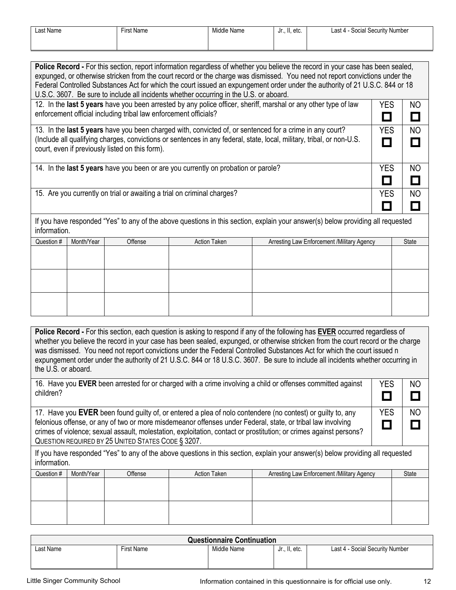| Last Name | <b>First Name</b> | Middle Name | Jr., II, etc. | . .<br>Social Security Number<br>∟ast 4 - ' |
|-----------|-------------------|-------------|---------------|---------------------------------------------|
|           |                   |             |               |                                             |

|                                                                                                                                                                                            | Police Record - For this section, report information regardless of whether you believe the record in your case has been sealed,<br>expunged, or otherwise stricken from the court record or the charge was dismissed. You need not report convictions under the<br>Federal Controlled Substances Act for which the court issued an expungement order under the authority of 21 U.S.C. 844 or 18<br>U.S.C. 3607. Be sure to include all incidents whether occurring in the U.S. or aboard. |  |  |  |              |                                               |  |  |
|--------------------------------------------------------------------------------------------------------------------------------------------------------------------------------------------|-------------------------------------------------------------------------------------------------------------------------------------------------------------------------------------------------------------------------------------------------------------------------------------------------------------------------------------------------------------------------------------------------------------------------------------------------------------------------------------------|--|--|--|--------------|-----------------------------------------------|--|--|
| 12. In the last 5 years have you been arrested by any police officer, sheriff, marshal or any other type of law<br>YES<br>enforcement official including tribal law enforcement officials? |                                                                                                                                                                                                                                                                                                                                                                                                                                                                                           |  |  |  |              | NO<br>$\Box$                                  |  |  |
|                                                                                                                                                                                            | 13. In the last 5 years have you been charged with, convicted of, or sentenced for a crime in any court?<br><b>YES</b><br><b>NO</b><br>(Include all qualifying charges, convictions or sentences in any federal, state, local, military, tribal, or non-U.S.<br>$\Box$<br>court, even if previously listed on this form).                                                                                                                                                                 |  |  |  |              |                                               |  |  |
|                                                                                                                                                                                            | 14. In the last 5 years have you been or are you currently on probation or parole?<br><b>YES</b><br>NO.<br>$\Box$                                                                                                                                                                                                                                                                                                                                                                         |  |  |  |              |                                               |  |  |
| 15. Are you currently on trial or awaiting a trial on criminal charges?<br>YES                                                                                                             |                                                                                                                                                                                                                                                                                                                                                                                                                                                                                           |  |  |  |              | N <sub>O</sub><br>$\mathcal{L}_{\mathcal{A}}$ |  |  |
| If you have responded "Yes" to any of the above questions in this section, explain your answer(s) below providing all requested<br>information.                                            |                                                                                                                                                                                                                                                                                                                                                                                                                                                                                           |  |  |  |              |                                               |  |  |
| Question #                                                                                                                                                                                 | <b>Action Taken</b><br>Month/Year<br>Offense<br>Arresting Law Enforcement /Military Agency                                                                                                                                                                                                                                                                                                                                                                                                |  |  |  | <b>State</b> |                                               |  |  |
|                                                                                                                                                                                            |                                                                                                                                                                                                                                                                                                                                                                                                                                                                                           |  |  |  |              |                                               |  |  |
|                                                                                                                                                                                            |                                                                                                                                                                                                                                                                                                                                                                                                                                                                                           |  |  |  |              |                                               |  |  |

**Police Record -** For this section, each question is asking to respond if any of the following has **EVER** occurred regardless of whether you believe the record in your case has been sealed, expunged, or otherwise stricken from the court record or the charge was dismissed. You need not report convictions under the Federal Controlled Substances Act for which the court issued n expungement order under the authority of 21 U.S.C. 844 or 18 U.S.C. 3607. Be sure to include all incidents whether occurring in the U.S. or aboard.

|                                                                                                                    |                                                                                                                                                 |  |  | 16. Have you EVER been arrested for or charged with a crime involving a child or offenses committed against | <b>YES</b> | NO    |  |  |  |
|--------------------------------------------------------------------------------------------------------------------|-------------------------------------------------------------------------------------------------------------------------------------------------|--|--|-------------------------------------------------------------------------------------------------------------|------------|-------|--|--|--|
| children?                                                                                                          |                                                                                                                                                 |  |  |                                                                                                             |            |       |  |  |  |
|                                                                                                                    |                                                                                                                                                 |  |  |                                                                                                             |            |       |  |  |  |
| 17. Have you EVER been found guilty of, or entered a plea of nolo contendere (no contest) or guilty to, any        |                                                                                                                                                 |  |  |                                                                                                             |            |       |  |  |  |
| felonious offense, or any of two or more misdemeanor offenses under Federal, state, or tribal law involving        |                                                                                                                                                 |  |  |                                                                                                             |            |       |  |  |  |
| crimes of violence; sexual assault, molestation, exploitation, contact or prostitution; or crimes against persons? |                                                                                                                                                 |  |  |                                                                                                             |            |       |  |  |  |
| QUESTION REQUIRED BY 25 UNITED STATES CODE § 3207.                                                                 |                                                                                                                                                 |  |  |                                                                                                             |            |       |  |  |  |
|                                                                                                                    | If you have responded "Yes" to any of the above questions in this section, explain your answer(s) below providing all requested<br>information. |  |  |                                                                                                             |            |       |  |  |  |
| Question #                                                                                                         | Month/Year<br><b>Action Taken</b><br>Arresting Law Enforcement / Military Agency<br>Offense                                                     |  |  |                                                                                                             |            | State |  |  |  |
|                                                                                                                    |                                                                                                                                                 |  |  |                                                                                                             |            |       |  |  |  |
|                                                                                                                    |                                                                                                                                                 |  |  |                                                                                                             |            |       |  |  |  |
|                                                                                                                    |                                                                                                                                                 |  |  |                                                                                                             |            |       |  |  |  |

| <b>Questionnaire Continuation</b> |                   |             |               |                                 |  |  |
|-----------------------------------|-------------------|-------------|---------------|---------------------------------|--|--|
| ∟ast Name                         | <b>First Name</b> | Middle Name | Jr., II, etc. | Last 4 - Social Security Number |  |  |
|                                   |                   |             |               |                                 |  |  |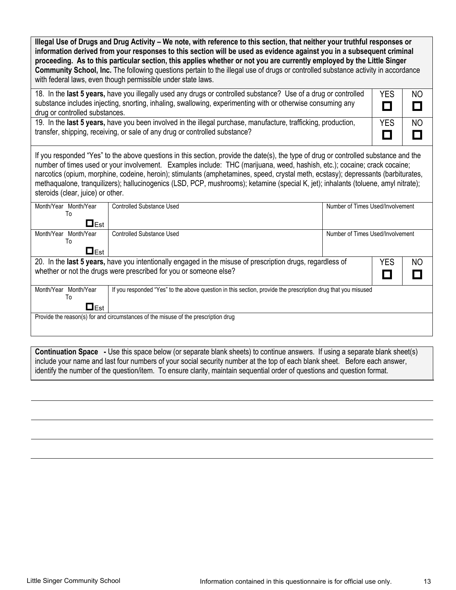| Illegal Use of Drugs and Drug Activity - We note, with reference to this section, that neither your truthful responses or<br>information derived from your responses to this section will be used as evidence against you in a subsequent criminal<br>proceeding. As to this particular section, this applies whether or not you are currently employed by the Little Singer<br>Community School, Inc. The following questions pertain to the illegal use of drugs or controlled substance activity in accordance<br>with federal laws, even though permissible under state laws. |                                                                      |                                  |  |  |  |  |  |
|-----------------------------------------------------------------------------------------------------------------------------------------------------------------------------------------------------------------------------------------------------------------------------------------------------------------------------------------------------------------------------------------------------------------------------------------------------------------------------------------------------------------------------------------------------------------------------------|----------------------------------------------------------------------|----------------------------------|--|--|--|--|--|
| 18. In the last 5 years, have you illegally used any drugs or controlled substance? Use of a drug or controlled<br><b>YES</b><br><b>NO</b><br>substance includes injecting, snorting, inhaling, swallowing, experimenting with or otherwise consuming any<br>О<br>П<br>drug or controlled substances.                                                                                                                                                                                                                                                                             |                                                                      |                                  |  |  |  |  |  |
| 19. In the last 5 years, have you been involved in the illegal purchase, manufacture, trafficking, production,<br><b>YES</b><br><b>NO</b><br>transfer, shipping, receiving, or sale of any drug or controlled substance?<br>П                                                                                                                                                                                                                                                                                                                                                     |                                                                      |                                  |  |  |  |  |  |
| If you responded "Yes" to the above questions in this section, provide the date(s), the type of drug or controlled substance and the<br>number of times used or your involvement. Examples include: THC (marijuana, weed, hashish, etc.); cocaine; crack cocaine;<br>narcotics (opium, morphine, codeine, heroin); stimulants (amphetamines, speed, crystal meth, ecstasy); depressants (barbiturates,<br>methaqualone, tranquilizers); hallucinogenics (LSD, PCP, mushrooms); ketamine (special K, jet); inhalants (toluene, amyl nitrate);<br>steroids (clear, juice) or other. |                                                                      |                                  |  |  |  |  |  |
| Month/Year Month/Year<br>To<br>$\Box$ Est                                                                                                                                                                                                                                                                                                                                                                                                                                                                                                                                         | <b>Controlled Substance Used</b>                                     | Number of Times Used/Involvement |  |  |  |  |  |
| Month/Year Month/Year<br>To<br>$\Box$ Est                                                                                                                                                                                                                                                                                                                                                                                                                                                                                                                                         | <b>Controlled Substance Used</b><br>Number of Times Used/Involvement |                                  |  |  |  |  |  |
| 20. In the last 5 years, have you intentionally engaged in the misuse of prescription drugs, regardless of<br><b>YES</b><br>NO<br>whether or not the drugs were prescribed for you or someone else?                                                                                                                                                                                                                                                                                                                                                                               |                                                                      |                                  |  |  |  |  |  |
| Month/Year Month/Year<br>If you responded "Yes" to the above question in this section, provide the prescription drug that you misused<br>To<br>$\Box$ Est                                                                                                                                                                                                                                                                                                                                                                                                                         |                                                                      |                                  |  |  |  |  |  |
| Provide the reason(s) for and circumstances of the misuse of the prescription drug                                                                                                                                                                                                                                                                                                                                                                                                                                                                                                |                                                                      |                                  |  |  |  |  |  |

**Continuation Space -** Use this space below (or separate blank sheets) to continue answers. If using a separate blank sheet(s) include your name and last four numbers of your social security number at the top of each blank sheet. Before each answer, identify the number of the question/item. To ensure clarity, maintain sequential order of questions and question format.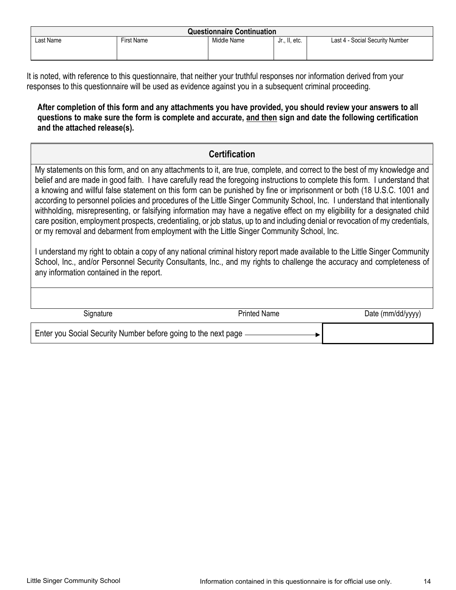| <b>Questionnaire Continuation</b> |                   |             |               |                                 |  |  |
|-----------------------------------|-------------------|-------------|---------------|---------------------------------|--|--|
| Last Name                         | <b>First Name</b> | Middle Name | Jr., II, etc. | Last 4 - Social Security Number |  |  |
|                                   |                   |             |               |                                 |  |  |
|                                   |                   |             |               |                                 |  |  |

It is noted, with reference to this questionnaire, that neither your truthful responses nor information derived from your responses to this questionnaire will be used as evidence against you in a subsequent criminal proceeding.

### **After completion of this form and any attachments you have provided, you should review your answers to all questions to make sure the form is complete and accurate, and then sign and date the following certification and the attached release(s).**

## **Certification**

My statements on this form, and on any attachments to it, are true, complete, and correct to the best of my knowledge and belief and are made in good faith. I have carefully read the foregoing instructions to complete this form. I understand that a knowing and willful false statement on this form can be punished by fine or imprisonment or both (18 U.S.C. 1001 and according to personnel policies and procedures of the Little Singer Community School, Inc. I understand that intentionally withholding, misrepresenting, or falsifying information may have a negative effect on my eligibility for a designated child care position, employment prospects, credentialing, or job status, up to and including denial or revocation of my credentials, or my removal and debarment from employment with the Little Singer Community School, Inc.

I understand my right to obtain a copy of any national criminal history report made available to the Little Singer Community School, Inc., and/or Personnel Security Consultants, Inc., and my rights to challenge the accuracy and completeness of any information contained in the report.

| Signature                                                       | <b>Printed Name</b> | Date (mm/dd/yyyy) |
|-----------------------------------------------------------------|---------------------|-------------------|
| Enter you Social Security Number before going to the next page. |                     |                   |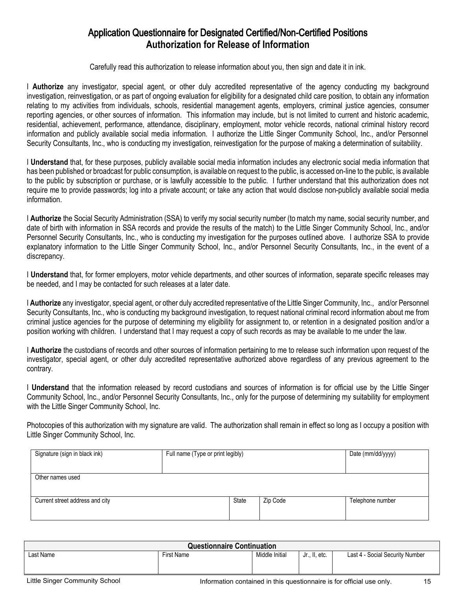## Application Questionnaire for Designated Certified/Non-Certified Positions **Authorization for Release of Information**

Carefully read this authorization to release information about you, then sign and date it in ink.

I Authorize any investigator, special agent, or other duly accredited representative of the agency conducting my background investigation, reinvestigation, or as part of ongoing evaluation for eligibility for a designated child care position, to obtain any information relating to my activities from individuals, schools, residential management agents, employers, criminal justice agencies, consumer reporting agencies, or other sources of information. This information may include, but is not limited to current and historic academic, residential, achievement, performance, attendance, disciplinary, employment, motor vehicle records, national criminal history record information and publicly available social media information. I authorize the Little Singer Community School, Inc., and/or Personnel Security Consultants, Inc., who is conducting my investigation, reinvestigation for the purpose of making a determination of suitability.

I **Understand** that, for these purposes, publicly available social media information includes any electronic social media information that has been published or broadcast for public consumption, is available on request to the public, is accessed on-line to the public, is available to the public by subscription or purchase, or is lawfully accessible to the public. I further understand that this authorization does not require me to provide passwords; log into a private account; or take any action that would disclose non-publicly available social media information.

I **Authorize** the Social Security Administration (SSA) to verify my social security number (to match my name, social security number, and date of birth with information in SSA records and provide the results of the match) to the Little Singer Community School, Inc., and/or Personnel Security Consultants, Inc., who is conducting my investigation for the purposes outlined above. I authorize SSA to provide explanatory information to the Little Singer Community School, Inc., and/or Personnel Security Consultants, Inc., in the event of a discrepancy.

I **Understand** that, for former employers, motor vehicle departments, and other sources of information, separate specific releases may be needed, and I may be contacted for such releases at a later date.

I **Authorize** any investigator, special agent, or other duly accredited representative of the Little Singer Community, Inc., and/or Personnel Security Consultants, Inc., who is conducting my background investigation, to request national criminal record information about me from criminal justice agencies for the purpose of determining my eligibility for assignment to, or retention in a designated position and/or a position working with children. I understand that I may request a copy of such records as may be available to me under the law.

I **Authorize** the custodians of records and other sources of information pertaining to me to release such information upon request of the investigator, special agent, or other duly accredited representative authorized above regardless of any previous agreement to the contrary.

I **Understand** that the information released by record custodians and sources of information is for official use by the Little Singer Community School, Inc., and/or Personnel Security Consultants, Inc., only for the purpose of determining my suitability for employment with the Little Singer Community School, Inc.

Photocopies of this authorization with my signature are valid. The authorization shall remain in effect so long as I occupy a position with Little Singer Community School, Inc.

| Signature (sign in black ink)   | Full name (Type or print legibly) |       |          | Date (mm/dd/yyyy) |
|---------------------------------|-----------------------------------|-------|----------|-------------------|
| Other names used                |                                   |       |          |                   |
| Current street address and city |                                   | State | Zip Code | Telephone number  |

| <b>Questionnaire Continuation</b> |            |                |               |                                 |  |  |  |
|-----------------------------------|------------|----------------|---------------|---------------------------------|--|--|--|
| Last Name                         | First Name | Middle Initial | Jr., II, etc. | Last 4 - Social Security Number |  |  |  |
|                                   |            |                |               |                                 |  |  |  |
|                                   |            |                |               |                                 |  |  |  |